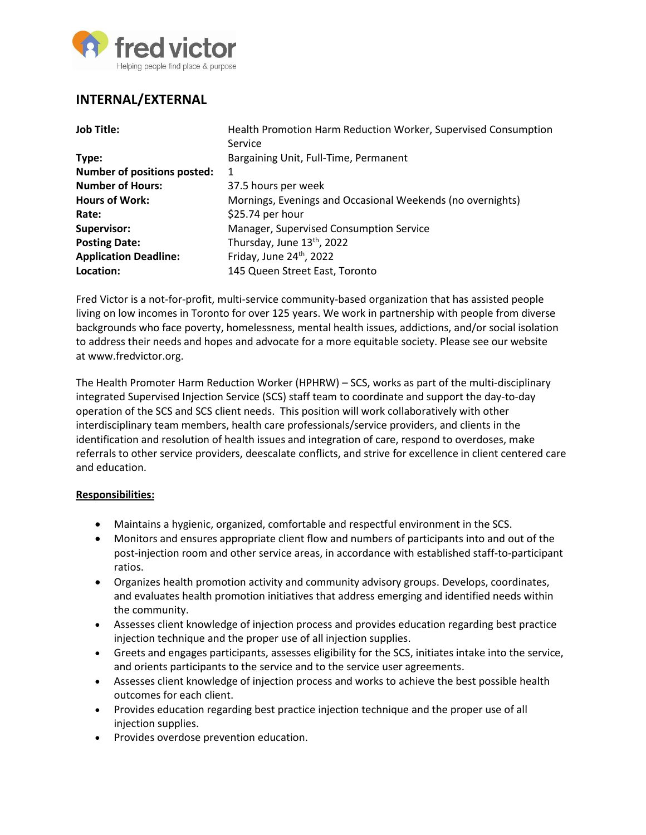

# **INTERNAL/EXTERNAL**

| <b>Job Title:</b>                  | Health Promotion Harm Reduction Worker, Supervised Consumption |
|------------------------------------|----------------------------------------------------------------|
|                                    | Service                                                        |
| Type:                              | Bargaining Unit, Full-Time, Permanent                          |
| <b>Number of positions posted:</b> | 1                                                              |
| <b>Number of Hours:</b>            | 37.5 hours per week                                            |
| <b>Hours of Work:</b>              | Mornings, Evenings and Occasional Weekends (no overnights)     |
| Rate:                              | \$25.74 per hour                                               |
| <b>Supervisor:</b>                 | Manager, Supervised Consumption Service                        |
| <b>Posting Date:</b>               | Thursday, June 13th, 2022                                      |
| <b>Application Deadline:</b>       | Friday, June 24th, 2022                                        |
| Location:                          | 145 Queen Street East, Toronto                                 |

Fred Victor is a not-for-profit, multi-service community-based organization that has assisted people living on low incomes in Toronto for over 125 years. We work in partnership with people from diverse backgrounds who face poverty, homelessness, mental health issues, addictions, and/or social isolation to address their needs and hopes and advocate for a more equitable society. Please see our website at [www.fredvictor.org.](http://www.fredvictor.org/)

The Health Promoter Harm Reduction Worker (HPHRW) – SCS, works as part of the multi-disciplinary integrated Supervised Injection Service (SCS) staff team to coordinate and support the day-to-day operation of the SCS and SCS client needs. This position will work collaboratively with other interdisciplinary team members, health care professionals/service providers, and clients in the identification and resolution of health issues and integration of care, respond to overdoses, make referrals to other service providers, deescalate conflicts, and strive for excellence in client centered care and education.

#### **Responsibilities:**

- Maintains a hygienic, organized, comfortable and respectful environment in the SCS.
- Monitors and ensures appropriate client flow and numbers of participants into and out of the post-injection room and other service areas, in accordance with established staff-to-participant ratios.
- Organizes health promotion activity and community advisory groups. Develops, coordinates, and evaluates health promotion initiatives that address emerging and identified needs within the community.
- Assesses client knowledge of injection process and provides education regarding best practice injection technique and the proper use of all injection supplies.
- Greets and engages participants, assesses eligibility for the SCS, initiates intake into the service, and orients participants to the service and to the service user agreements.
- Assesses client knowledge of injection process and works to achieve the best possible health outcomes for each client.
- Provides education regarding best practice injection technique and the proper use of all injection supplies.
- **•** Provides overdose prevention education.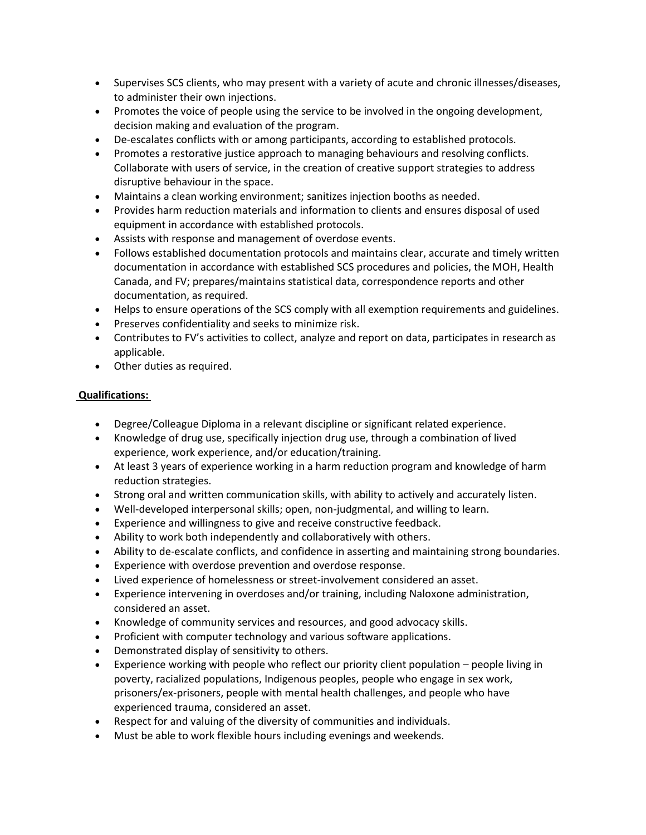- Supervises SCS clients, who may present with a variety of acute and chronic illnesses/diseases, to administer their own injections.
- Promotes the voice of people using the service to be involved in the ongoing development, decision making and evaluation of the program.
- De-escalates conflicts with or among participants, according to established protocols.
- Promotes a restorative justice approach to managing behaviours and resolving conflicts. Collaborate with users of service, in the creation of creative support strategies to address disruptive behaviour in the space.
- Maintains a clean working environment; sanitizes injection booths as needed.
- Provides harm reduction materials and information to clients and ensures disposal of used equipment in accordance with established protocols.
- Assists with response and management of overdose events.
- Follows established documentation protocols and maintains clear, accurate and timely written documentation in accordance with established SCS procedures and policies, the MOH, Health Canada, and FV; prepares/maintains statistical data, correspondence reports and other documentation, as required.
- Helps to ensure operations of the SCS comply with all exemption requirements and guidelines.
- Preserves confidentiality and seeks to minimize risk.
- Contributes to FV's activities to collect, analyze and report on data, participates in research as applicable.
- Other duties as required.

# **Qualifications:**

- Degree/Colleague Diploma in a relevant discipline or significant related experience.
- Knowledge of drug use, specifically injection drug use, through a combination of lived experience, work experience, and/or education/training.
- At least 3 years of experience working in a harm reduction program and knowledge of harm reduction strategies.
- Strong oral and written communication skills, with ability to actively and accurately listen.
- Well-developed interpersonal skills; open, non-judgmental, and willing to learn.
- Experience and willingness to give and receive constructive feedback.
- Ability to work both independently and collaboratively with others.
- Ability to de-escalate conflicts, and confidence in asserting and maintaining strong boundaries.
- Experience with overdose prevention and overdose response.
- Lived experience of homelessness or street-involvement considered an asset.
- Experience intervening in overdoses and/or training, including Naloxone administration, considered an asset.
- Knowledge of community services and resources, and good advocacy skills.
- Proficient with computer technology and various software applications.
- Demonstrated display of sensitivity to others.
- Experience working with people who reflect our priority client population people living in poverty, racialized populations, Indigenous peoples, people who engage in sex work, prisoners/ex-prisoners, people with mental health challenges, and people who have experienced trauma, considered an asset.
- Respect for and valuing of the diversity of communities and individuals.
- Must be able to work flexible hours including evenings and weekends.